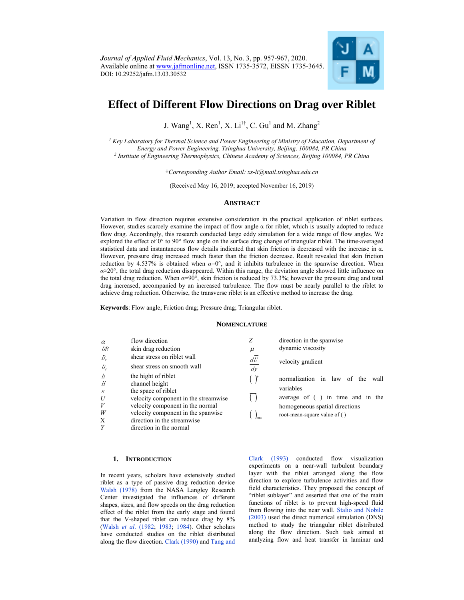

# **Effect of Different Flow Directions on Drag over Riblet**

J. Wang<sup>1</sup>, X. Ren<sup>1</sup>, X. Li<sup>1†</sup>, C. Gu<sup>1</sup> and M. Zhang<sup>2</sup>

*1 Key Laboratory for Thermal Science and Power Engineering of Ministry of Education, Department of Energy and Power Engineering, Tsinghua University, Beijing, 100084, PR China 2 Institute of Engineering Thermophysics, Chinese Academy of Sciences, Beijing 100084, PR China* 

†*Corresponding Author Email: xs-li@mail.tsinghua.edu.cn* 

(Received May 16, 2019; accepted November 16, 2019)

# **ABSTRACT**

Variation in flow direction requires extensive consideration in the practical application of riblet surfaces. However, studies scarcely examine the impact of flow angle  $\alpha$  for riblet, which is usually adopted to reduce flow drag. Accordingly, this research conducted large eddy simulation for a wide range of flow angles. We explored the effect of 0° to 90° flow angle on the surface drag change of triangular riblet. The time-averaged statistical data and instantaneous flow details indicated that skin friction is decreased with the increase in  $\alpha$ . However, pressure drag increased much faster than the friction decrease. Result revealed that skin friction reduction by 4.537% is obtained when *α*=0°, and it inhibits turbulence in the spanwise direction. When *α*≈20°, the total drag reduction disappeared. Within this range, the deviation angle showed little influence on the total drag reduction. When *α*=90°, skin friction is reduced by 73.3%; however the pressure drag and total drag increased, accompanied by an increased turbulence. The flow must be nearly parallel to the riblet to achieve drag reduction. Otherwise, the transverse riblet is an effective method to increase the drag.

**Keywords**: Flow angle; Friction drag; Pressure drag; Triangular riblet.

## **NOMENCLATURE**

| $\alpha$<br>DR | flow direction<br>skin drag reduction | Ζ<br>$\mu$    | direction in the spanwise<br>dynamic viscosity<br>velocity gradient |  |  |
|----------------|---------------------------------------|---------------|---------------------------------------------------------------------|--|--|
| $D_r$          | shear stress on riblet wall           | dU            |                                                                     |  |  |
| $D_{\rm f}$    | shear stress on smooth wall           | $\frac{dy}{}$ |                                                                     |  |  |
| h<br>Н         | the hight of riblet<br>channel height |               | normalization<br>law<br>in<br>of the<br>wall                        |  |  |
| $\cdot$ S      | the space of riblet                   |               | variables                                                           |  |  |
| U              | velocity component in the streamwise  |               | in time and in the<br>average of $( )$                              |  |  |
| V              | velocity component in the normal      |               | homogeneous spatial directions                                      |  |  |
| W              | velocity component in the spanwise    |               | root-mean-square value of ()                                        |  |  |
| X              | direction in the streamwise           |               |                                                                     |  |  |
| Y              | direction in the normal               |               |                                                                     |  |  |

## **1. INTRODUCTION**

In recent years, scholars have extensively studied riblet as a type of passive drag reduction device Walsh (1978) from the NASA Langley Research Center investigated the influences of different shapes, sizes, and flow speeds on the drag reduction effect of the riblet from the early stage and found that the V-shaped riblet can reduce drag by 8% (Walsh *et al*. (1982; 1983; 1984). Other scholars have conducted studies on the riblet distributed along the flow direction. Clark (1990) and Tang and

Clark (1993) conducted flow visualization experiments on a near-wall turbulent boundary layer with the riblet arranged along the flow direction to explore turbulence activities and flow field characteristics. They proposed the concept of "riblet sublayer" and asserted that one of the main functions of riblet is to prevent high-speed fluid from flowing into the near wall. Stalio and Nobile (2003) used the direct numerical simulation (DNS) method to study the triangular riblet distributed along the flow direction. Such task aimed at analyzing flow and heat transfer in laminar and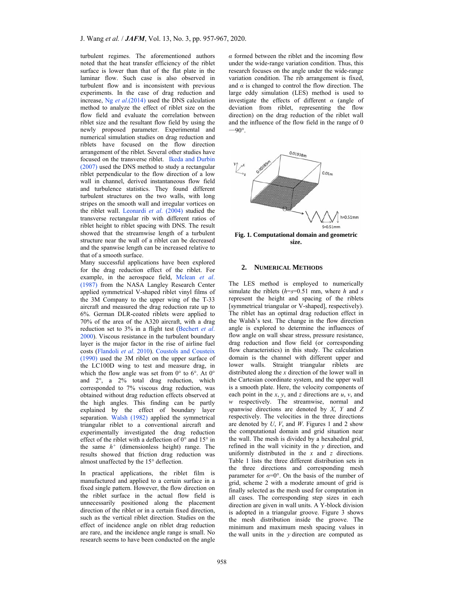turbulent regimes. The aforementioned authors noted that the heat transfer efficiency of the riblet surface is lower than that of the flat plate in the laminar flow. Such case is also observed in turbulent flow and is inconsistent with previous experiments. In the case of drag reduction and increase, Ng *et al*.(2014) used the DNS calculation method to analyze the effect of riblet size on the flow field and evaluate the correlation between riblet size and the resultant flow field by using the newly proposed parameter. Experimental and numerical simulation studies on drag reduction and riblets have focused on the flow direction arrangement of the riblet. Several other studies have focused on the transverse riblet. Ikeda and Durbin (2007) used the DNS method to study a rectangular riblet perpendicular to the flow direction of a low wall in channel, derived instantaneous flow field and turbulence statistics. They found different turbulent structures on the two walls, with long stripes on the smooth wall and irregular vortices on the riblet wall. Leonardi *et al*. (2004) studied the transverse rectangular rib with different ratios of riblet height to riblet spacing with DNS. The result showed that the streamwise length of a turbulent structure near the wall of a riblet can be decreased and the spanwise length can be increased relative to that of a smooth surface.

Many successful applications have been explored for the drag reduction effect of the riblet. For example, in the aerospace field, Mclean *et al*. (1987) from the NASA Langley Research Center applied symmetrical V-shaped riblet vinyl films of the 3M Company to the upper wing of the T-33 aircraft and measured the drag reduction rate up to 6%. German DLR-coated riblets were applied to 70% of the area of the A320 aircraft, with a drag reduction set to 3% in a flight test (Bechert *et al*. 2000). Viscous resistance in the turbulent boundary layer is the major factor in the rise of airline fuel costs (Flandoli *et al*. 2010). Coustols and Cousteix (1990) used the 3M riblet on the upper surface of the LC100D wing to test and measure drag, in which the flow angle was set from 0° to 6°. At 0° and 2°, a 2% total drag reduction, which corresponded to 7% viscous drag reduction, was obtained without drag reduction effects observed at the high angles. This finding can be partly explained by the effect of boundary layer separation. Walsh (1982) applied the symmetrical triangular riblet to a conventional aircraft and experimentally investigated the drag reduction effect of the riblet with a deflection of 0° and 15° in the same *h+* (dimensionless height) range. The results showed that friction drag reduction was almost unaffected by the 15° deflection.

In practical applications, the riblet film is manufactured and applied to a certain surface in a fixed single pattern. However, the flow direction on the riblet surface in the actual flow field is unnecessarily positioned along the placement direction of the riblet or in a certain fixed direction, such as the vertical riblet direction. Studies on the effect of incidence angle on riblet drag reduction are rare, and the incidence angle range is small. No research seems to have been conducted on the angle

*α* formed between the riblet and the incoming flow under the wide-range variation condition. Thus, this research focuses on the angle under the wide-range variation condition. The rib arrangement is fixed, and  $\alpha$  is changed to control the flow direction. The large eddy simulation (LES) method is used to investigate the effects of different *α* (angle of deviation from riblet, representing the flow direction) on the drag reduction of the riblet wall and the influence of the flow field in the range of 0  $-90^\circ$ .



**Fig. 1. Computational domain and geometric size.** 

#### **2. NUMERICAL METHODS**

The LES method is employed to numerically simulate the riblets  $(h=s=0.51 \text{ mm})$ , where *h* and *s* represent the height and spacing of the riblets [symmetrical triangular or V-shaped], respectively). The riblet has an optimal drag reduction effect in the Walsh's test. The change in the flow direction angle is explored to determine the influences of flow angle on wall shear stress, pressure resistance, drag reduction and flow field (or corresponding flow characteristics) in this study. The calculation domain is the channel with different upper and lower walls. Straight triangular riblets are distributed along the *x* direction of the lower wall in the Cartesian coordinate system, and the upper wall is a smooth plate. Here, the velocity components of each point in the *x*, *y*, and *z* directions are *u*, *v*, and *w* respectively. The streamwise, normal and spanwise directions are denoted by *X*, *Y* and *Z* respectively. The velocities in the three directions are denoted by *U*, *V*, and *W*. Figures 1 and 2 show the computational domain and grid situation near the wall. The mesh is divided by a hexahedral grid, refined in the wall vicinity in the *y* direction, and uniformly distributed in the *x* and *z* directions. Table 1 lists the three different distribution sets in the three directions and corresponding mesh parameter for  $\alpha=0^\circ$ . On the basis of the number of grid, scheme 2 with a moderate amount of grid is finally selected as the mesh used for computation in all cases. The corresponding step sizes in each direction are given in wall units. A Y-block division is adopted in a triangular groove. Figure 3 shows the mesh distribution inside the groove. The minimum and maximum mesh spacing values in the wall units in the *y* direction are computed as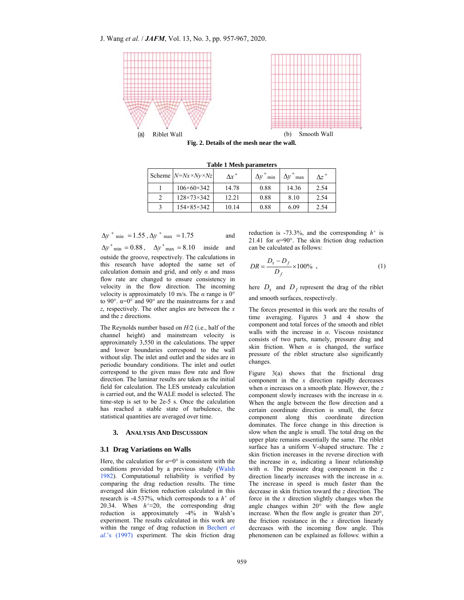

**Fig. 2. Details of the mesh near the wall.**

**Table 1 Mesh parameters** 

| Scheme $N=Nx\times Ny\times Nz$ | $\Delta x^+$ | $\Delta v^+$<br>min | $\Delta v^+$<br>max | $\Lambda z^+$ |
|---------------------------------|--------------|---------------------|---------------------|---------------|
| $106 \times 60 \times 342$      | 14.78        | 0.88                | 14.36               | 2.54          |
| $128 \times 73 \times 342$      | 12.21        | 0.88                | 8.10                | 2.54          |
| $154 \times 85 \times 342$      | 10.14        | 0.88                | 6.09                | 2.54          |

$$
\Delta y^+_{min} = 1.55
$$
,  $\Delta y^+_{max} = 1.75$  and

 $\Delta y^+$ <sub>min</sub> = 0.88,  $\Delta y^+$ <sub>max</sub> = 8.10 inside and outside the groove, respectively. The calculations in this research have adopted the same set of calculation domain and grid, and only *α* and mass flow rate are changed to ensure consistency in velocity in the flow direction. The incoming velocity is approximately 10 m/s. The  $\alpha$  range is 0° to 90°. α=0° and 90° are the mainstreams for *x* and *z*, respectively. The other angles are between the *x* and the *z* directions.

The Reynolds number based on *H/*2 (i.e., half of the channel height) and mainstream velocity is approximately 3,550 in the calculations. The upper and lower boundaries correspond to the wall without slip. The inlet and outlet and the sides are in periodic boundary conditions. The inlet and outlet correspond to the given mass flow rate and flow direction. The laminar results are taken as the initial field for calculation. The LES unsteady calculation is carried out, and the WALE model is selected. The time-step is set to be 2e-5 s. Once the calculation has reached a stable state of turbulence, the statistical quantities are averaged over time.

## **3. ANALYSIS AND DISCUSSION**

#### **3.1 Drag Variations on Walls**

Here, the calculation for  $\alpha=0^\circ$  is consistent with the conditions provided by a previous study (Walsh 1982). Computational reliability is verified by comparing the drag reduction results. The time averaged skin friction reduction calculated in this research is -4.537%, which corresponds to a  $h^+$  of 20.34. When *h+*≈20, the corresponding drag reduction is approximately -4% in Walsh's experiment. The results calculated in this work are within the range of drag reduction in Bechert *et al*.'s (1997) experiment. The skin friction drag

reduction is -73.3%, and the corresponding *h+* is 21.41 for  $\alpha=90^\circ$ . The skin friction drag reduction can be calculated as follows:

$$
DR = \frac{D_{\rm r} - D_f}{D_f} \times 100\% \tag{1}
$$

here  $D_r$  and  $D_f$  represent the drag of the riblet and smooth surfaces, respectively.

The forces presented in this work are the results of time averaging. Figures 3 and 4 show the component and total forces of the smooth and riblet walls with the increase in *α*. Viscous resistance consists of two parts, namely, pressure drag and skin friction. When  $\alpha$  is changed, the surface pressure of the riblet structure also significantly changes.

Figure 3(a) shows that the frictional drag component in the *x* direction rapidly decreases when *α* increases on a smooth plate. However, the *z*  component slowly increases with the increase in *α*. When the angle between the flow direction and a certain coordinate direction is small, the force component along this coordinate direction dominates. The force change in this direction is slow when the angle is small. The total drag on the upper plate remains essentially the same. The riblet surface has a uniform V-shaped structure. The *z* skin friction increases in the reverse direction with the increase in *α*, indicating a linear relationship with *α*. The pressure drag component in the *z* direction linearly increases with the increase in *α*. The increase in speed is much faster than the decrease in skin friction toward the *z* direction. The force in the *x* direction slightly changes when the angle changes within 20° with the flow angle increase. When the flow angle is greater than 20°, the friction resistance in the *x* direction linearly decreases with the incoming flow angle. This phenomenon can be explained as follows: within a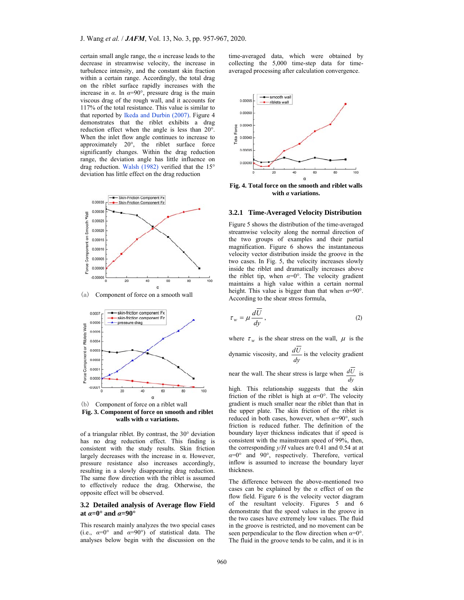certain small angle range, the *α* increase leads to the decrease in streamwise velocity, the increase in turbulence intensity, and the constant skin fraction within a certain range. Accordingly, the total drag on the riblet surface rapidly increases with the increase in  $\alpha$ . In  $\alpha = 90^{\circ}$ , pressure drag is the main viscous drag of the rough wall, and it accounts for 117% of the total resistance. This value is similar to that reported by Ikeda and Durbin (2007). Figure 4 demonstrates that the riblet exhibits a drag reduction effect when the angle is less than 20°. When the inlet flow angle continues to increase to approximately 20°, the riblet surface force significantly changes. Within the drag reduction range, the deviation angle has little influence on drag reduction. Walsh (1982) verified that the 15° deviation has little effect on the drag reduction



(a) Component of force on a smooth wall



**Fig. 3. Component of force on smooth and riblet walls with** *α* **variations.** 

of a triangular riblet. By contrast, the 30° deviation has no drag reduction effect. This finding is consistent with the study results. Skin friction largely decreases with the increase in α. However, pressure resistance also increases accordingly, resulting in a slowly disappearing drag reduction. The same flow direction with the riblet is assumed to effectively reduce the drag. Otherwise, the opposite effect will be observed.

## **3.2 Detailed analysis of Average flow Field at**  $\alpha = 0^\circ$  and  $\alpha = 90^\circ$

This research mainly analyzes the two special cases (i.e.,  $\alpha=0^{\circ}$  and  $\alpha=90^{\circ}$ ) of statistical data. The analyses below begin with the discussion on the

time-averaged data, which were obtained by collecting the 5,000 time-step data for timeaveraged processing after calculation convergence.



**Fig. 4. Total force on the smooth and riblet walls with** *α* **variations.** 

## **3.2.1 Time-Averaged Velocity Distribution**

Figure 5 shows the distribution of the time-averaged streamwise velocity along the normal direction of the two groups of examples and their partial magnification. Figure 6 shows the instantaneous velocity vector distribution inside the groove in the two cases. In Fig. 5, the velocity increases slowly inside the riblet and dramatically increases above the riblet tip, when  $\alpha=0^\circ$ . The velocity gradient maintains a high value within a certain normal height. This value is bigger than that when *α*=90°. According to the shear stress formula,

$$
\tau_w = \mu \frac{dU}{dy},\qquad(2)
$$

where  $\tau_w$  is the shear stress on the wall,  $\mu$  is the

dynamic viscosity, and  $\frac{dU}{dy}$  is the velocity gradient

near the wall. The shear stress is large when *dy*  $\frac{dU}{ds}$  is

high. This relationship suggests that the skin friction of the riblet is high at  $\alpha=0^{\circ}$ . The velocity gradient is much smaller near the riblet than that in the upper plate. The skin friction of the riblet is reduced in both cases, however, when  $\alpha = 90^\circ$ , such friction is reduced futher. The definition of the boundary layer thickness indicates that if speed is consistent with the mainstream speed of 99%, then, the corresponding *y/H* values are 0.41 and 0.54 at at *α*=0° and 90°, respectively. Therefore, vertical inflow is assumed to increase the boundary layer thickness.

The difference between the above-mentioned two cases can be explained by the *α* effect of on the flow field. Figure 6 is the velocity vector diagram of the resultant velocity. Figures 5 and 6 demonstrate that the speed values in the groove in the two cases have extremely low values. The fluid in the groove is restricted, and no movement can be seen perpendicular to the flow direction when *α*=0°. The fluid in the groove tends to be calm, and it is in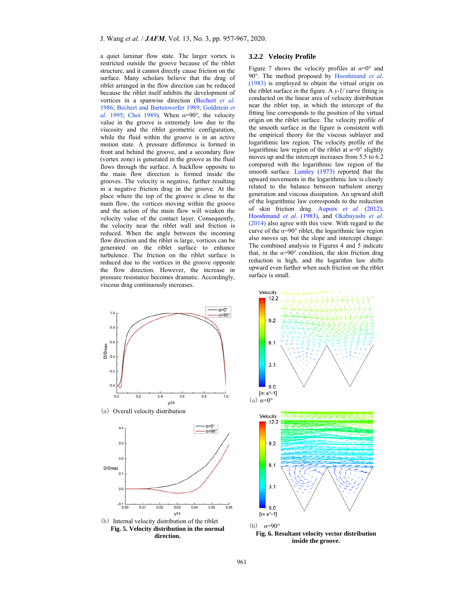a quiet laminar flow state. The larger vortex is restricted outside the groove because of the riblet structure, and it cannot directly cause friction on the surface. Many scholars believe that the drag of riblet arranged in the flow direction can be reduced because the riblet itself inhibits the development of vortices in a spanwise direction (Bechert *et al*. 1986; Bechert and Bartenwerfer 1989; Goldstein *et al*. 1995; Choi 1989). When *α*=90°, the velocity value in the groove is extremely low due to the viscosity and the riblet geometric configuration, while the fluid within the groove is in an active motion state. A pressure difference is formed in front and behind the groove, and a secondary flow (vortex zone) is generated in the groove as the fluid flows through the surface. A backflow opposite to the main flow direction is formed inside the grooves. The velocity is negative, further resulting in a negative friction drag in the groove. At the place where the top of the groove is close to the main flow, the vortices moving within the groove and the action of the main flow will weaken the velocity value of the contact layer. Consequently, the velocity near the riblet wall and friction is reduced. When the angle between the incoming flow direction and the riblet is large, vortices can be generated on the riblet surface to enhance turbulence. The friction on the riblet surface is reduced due to the vortices in the groove opposite the flow direction. However, the increase in pressure resistance becomes dramatic. Accordingly, viscous drag continuously increases.

## **3.2.2 Velocity Profile**

Figure 7 shows the velocity profiles at  $\alpha=0^{\circ}$  and 90°. The method proposed by Hooshmand *et al*. (1983) is employed to obtain the virtual origin on the riblet surface in the figure. A  $v$ -U curve fitting is conducted on the linear area of velocity distribution near the riblet top, in which the intercept of the fitting line corresponds to the position of the virtual origin on the riblet surface. The velocity profile of the smooth surface in the figure is consistent with the empirical theory for the viscous sublayer and logarithmic law region. The velocity profile of the logarithmic law region of the riblet at *α*=0° slightly moves up and the intercept increases from 5.5 to 6.2 compared with the logarithmic law region of the smooth surface. Lumley (1973) reported that the upward movements in the logarithmic law is closely related to the balance between turbulent energy generation and viscous dissipation. An upward shift of the logarithmic law corresponds to the reduction of skin friction drag. Aupoix *et al*. (2012), Hooshmand *et al*. (1983), and Okabayashi *et al*. (2014) also agree with this view. With regard to the curve of the *α*=90° riblet, the logarithmic law region also moves up, but the slope and intercept change. The combined analysis in Figures 4 and 5 indicate that, in the  $\alpha=90^\circ$  condition, the skin friction drag reduction is high, and the logarithm law shifts upward even further when such friction on the riblet surface is small.



 $6.1$  $3.1$  $0.0$  $[m s^{-1}]$ (a) *α*=0° Velocity  $12.2$ 9.2  $6.1$  $3<sub>1</sub>$  $0.0$  $[m s^{-1}]$ 





(b) *α*=90°

Velocity  $12.2$ 

92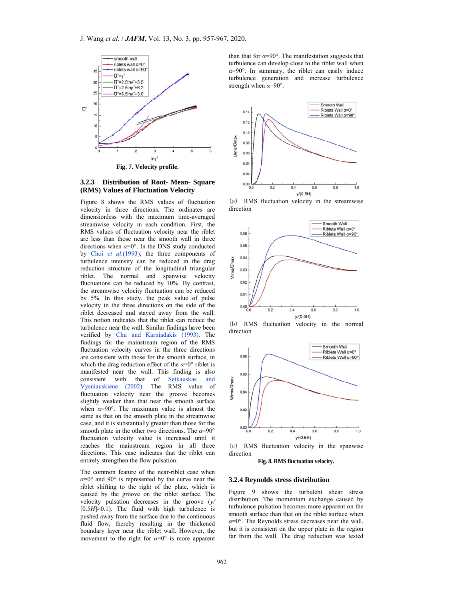

# **3.2.3 Distribution of Root- Mean- Square (RMS) Values of Fluctuation Velocity**

Figure 8 shows the RMS values of fluctuation velocity in three directions. The ordinates are dimensionless with the maximum time-averaged streamwise velocity in each condition. First, the RMS values of fluctuation velocity near the riblet are less than those near the smooth wall in three directions when *α*=0°. In the DNS study conducted by Choi *et al*.(1993), the three components of turbulence intensity can be reduced in the drag reduction structure of the longitudinal triangular riblet. The normal and spanwise velocity fluctuations can be reduced by 10%. By contrast, the streamwise velocity fluctuation can be reduced by 5%. In this study, the peak value of pulse velocity in the three directions on the side of the riblet decreased and stayed away from the wall. This notion indicates that the riblet can reduce the turbulence near the wall. Similar findings have been verified by Chu and Karniadakis (1993). The findings for the mainstream region of the RMS fluctuation velocity curves in the three directions are consistent with those for the smooth surface, in which the drag reduction effect of the  $\alpha=0^{\circ}$  riblet is manifested near the wall. This finding is also consistent with that of Setkauskas and Vysniauskiene (2002). The RMS value of fluctuation velocity near the groove becomes slightly weaker than that near the smooth surface when  $\alpha=90^\circ$ . The maximum value is almost the same as that on the smooth plate in the streamwise case, and it is substantially greater than those for the smooth plate in the other two directions. The *α*=90° fluctuation velocity value is increased until it reaches the mainstream region in all three directions. This case indicates that the riblet can entirely strengthen the flow pulsation.

The common feature of the near-riblet case when *α*=0° and 90° is represented by the curve near the riblet shifting to the right of the plate, which is caused by the groove on the riblet surface. The velocity pulsation decreases in the groove (*y/*   $[0.5H] \approx 0.1$ ). The fluid with high turbulence is pushed away from the surface due to the continuous fluid flow, thereby resulting in the thickened boundary layer near the riblet wall. However, the movement to the right for  $\alpha=0^{\circ}$  is more apparent than that for  $\alpha = 90^\circ$ . The manifestation suggests that turbulence can develop close to the riblet wall when  $\alpha = 90^\circ$ . In summary, the riblet can easily induce turbulence generation and increase turbulence strength when *α*=90°.



(a) RMS fluctuation velocity in the streamwise direction



(b) RMS fluctuation velocity in the normal direction



(c) RMS fluctuation velocity in the spanwise direction

**Fig. 8. RMS fluctuation velocity.** 

## **3.2.4 Reynolds stress distribution**

Figure 9 shows the turbulent shear stress distribution. The momentum exchange caused by turbulence pulsation becomes more apparent on the smooth surface than that on the riblet surface when *α*=0°. The Reynolds stress decreases near the wall, but it is consistent on the upper plate in the region far from the wall. The drag reduction was tested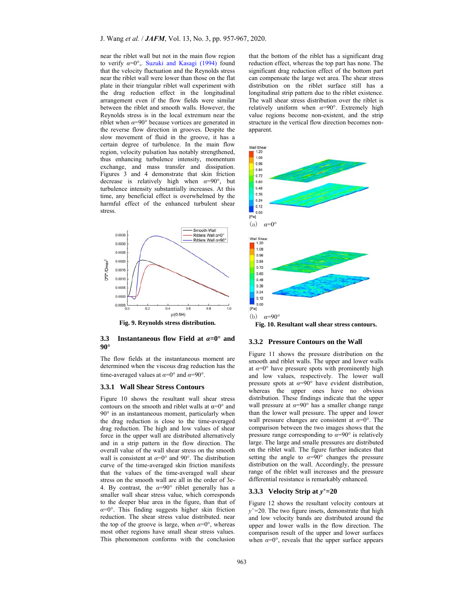near the riblet wall but not in the main flow region to verify *α*=0°,. Suzuki and Kasagi (1994) found that the velocity fluctuation and the Reynolds stress near the riblet wall were lower than those on the flat plate in their triangular riblet wall experiment with the drag reduction effect in the longitudinal arrangement even if the flow fields were similar between the riblet and smooth walls. However, the Reynolds stress is in the local extremum near the riblet when  $\alpha = 90^\circ$  because vortices are generated in the reverse flow direction in grooves. Despite the slow movement of fluid in the groove, it has a certain degree of turbulence. In the main flow region, velocity pulsation has notably strengthened, thus enhancing turbulence intensity, momentum exchange, and mass transfer and dissipation. Figures 3 and 4 demonstrate that skin friction decrease is relatively high when *α*=90°, but turbulence intensity substantially increases. At this time, any beneficial effect is overwhelmed by the harmful effect of the enhanced turbulent shear stress.



**Fig. 9. Reynolds stress distribution.** 

## **3.3 Instantaneous flow Field at** *α***=0° and 90°**

The flow fields at the instantaneous moment are determined when the viscous drag reduction has the time-averaged values at *α*=0° and *α*=90°.

# **3.3.1 Wall Shear Stress Contours**

Figure 10 shows the resultant wall shear stress contours on the smooth and riblet walls at  $\alpha=0^{\circ}$  and 90° in an instantaneous moment, particularly when the drag reduction is close to the time-averaged drag reduction. The high and low values of shear force in the upper wall are distributed alternatively and in a strip pattern in the flow direction. The overall value of the wall shear stress on the smooth wall is consistent at *α*=0° and 90°. The distribution curve of the time-averaged skin friction manifests that the values of the time-averaged wall shear stress on the smooth wall are all in the order of 3e-4. By contrast, the  $\alpha=90^\circ$  riblet generally has a smaller wall shear stress value, which corresponds to the deeper blue area in the figure, than that of  $\alpha=0^\circ$ . This finding suggests higher skin friction reduction. The shear stress value distributed. near the top of the groove is large, when  $\alpha=0^\circ$ , whereas most other regions have small shear stress values. This phenomenon conforms with the conclusion

that the bottom of the riblet has a significant drag reduction effect, whereas the top part has none. The significant drag reduction effect of the bottom part can compensate the large wet area. The shear stress distribution on the riblet surface still has a longitudinal strip pattern due to the riblet existence. The wall shear stress distribution over the riblet is relatively uniform when *α*=90°. Extremely high value regions become non-existent, and the strip structure in the vertical flow direction becomes nonapparent.



## **3.3.2 Pressure Contours on the Wall**

Figure 11 shows the pressure distribution on the smooth and riblet walls. The upper and lower walls at  $\alpha = 0^{\circ}$  have pressure spots with prominently high and low values, respectively. The lower wall pressure spots at *α*=90° have evident distribution, whereas the upper ones have no obvious distribution. These findings indicate that the upper wall pressure at  $\alpha = 90^\circ$  has a smaller change range than the lower wall pressure. The upper and lower wall pressure changes are consistent at  $\alpha=0^{\circ}$ . The comparison between the two images shows that the pressure range corresponding to  $\alpha = 90^\circ$  is relatively large. The large and smalle pressures are distributed on the riblet wall. The figure further indicates that setting the angle to  $\alpha=90^\circ$  changes the pressure distribution on the wall. Accordingly, the pressure range of the riblet wall increases and the pressure differential resistance is remarkably enhanced.

#### **3.3.3 Velocity Strip at** *y+***=20**

Figure 12 shows the resultant velocity contours at *y+*=20. The two figure insets, demonstrate that high and low velocity bands are distributed around the upper and lower walls in the flow direction. The comparison result of the upper and lower surfaces when  $\alpha=0^\circ$ , reveals that the upper surface appears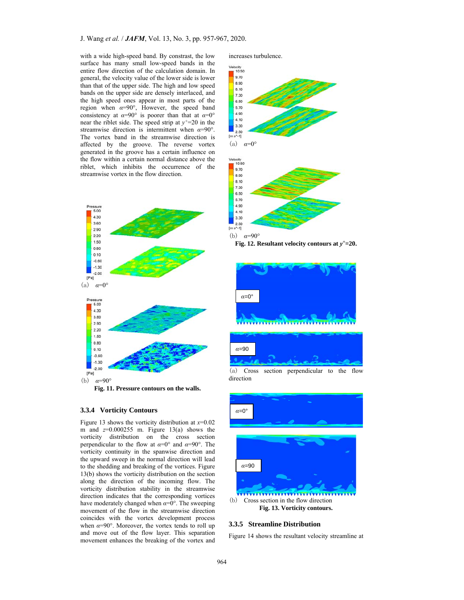with a wide high-speed band. By constrast, the low surface has many small low-speed bands in the entire flow direction of the calculation domain. In general, the velocity value of the lower side is lower than that of the upper side. The high and low speed bands on the upper side are densely interlaced, and the high speed ones appear in most parts of the region when  $\alpha=90^\circ$ , However, the speed band consistency at  $\alpha=90^\circ$  is poorer than that at  $\alpha=0^\circ$ near the riblet side. The speed strip at  $v^+=20$  in the streamwise direction is intermittent when *α*=90°. The vortex band in the streamwise direction is affected by the groove. The reverse vortex generated in the groove has a certain influence on the flow within a certain normal distance above the riblet, which inhibits the occurrence of the streamwise vortex in the flow direction.



# **3.3.4 Vorticity Contours**

Figure 13 shows the vorticity distribution at  $x=0.02$ m and *z*=0.000255 m. Figure 13(a) shows the vorticity distribution on the cross section perpendicular to the flow at *α*=0° and *α*=90°. The vorticity continuity in the spanwise direction and the upward sweep in the normal direction will lead to the shedding and breaking of the vortices. Figure 13(b) shows the vorticity distribution on the section along the direction of the incoming flow. The vorticity distribution stability in the streamwise direction indicates that the corresponding vortices have moderately changed when *α*=0°. The sweeping movement of the flow in the streamwise direction coincides with the vortex development process when  $\alpha = 90^\circ$ . Moreover, the vortex tends to roll up and move out of the flow layer. This separation movement enhances the breaking of the vortex and increases turbulence.



**Fig. 12. Resultant velocity contours at** *y+***=20.**



(a) Cross section perpendicular to the flow direction



# **3.3.5 Streamline Distribution**

Figure 14 shows the resultant velocity streamline at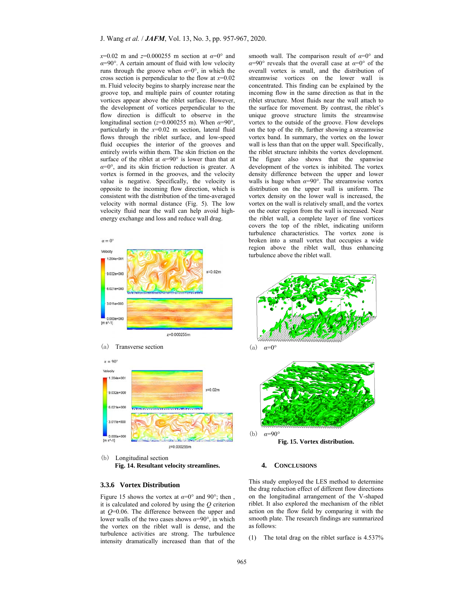*x*=0.02 m and *z*=0.000255 m section at *α*=0° and *α*=90°. A certain amount of fluid with low velocity runs through the groove when  $\alpha=0^\circ$ , in which the cross section is perpendicular to the flow at *x*=0.02 m. Fluid velocity begins to sharply increase near the groove top, and multiple pairs of counter rotating vortices appear above the riblet surface. However, the development of vortices perpendicular to the flow direction is difficult to observe in the longitudinal section (*z*=0.000255 m). When *α*=90°, particularly in the *x*=0.02 m section, lateral fluid flows through the riblet surface, and low-speed fluid occupies the interior of the grooves and entirely swirls within them. The skin friction on the surface of the riblet at  $\alpha=90^\circ$  is lower than that at *α*=0°, and its skin friction reduction is greater. A vortex is formed in the grooves, and the velocity value is negative. Specifically, the velocity is opposite to the incoming flow direction, which is consistent with the distribution of the time-averaged velocity with normal distance (Fig. 5). The low velocity fluid near the wall can help avoid highenergy exchange and loss and reduce wall drag.







(b) Longitudinal section **Fig. 14. Resultant velocity streamlines.** 

## **3.3.6 Vortex Distribution**

Figure 15 shows the vortex at  $\alpha=0^{\circ}$  and 90°; then it is calculated and colored by using the *Q* criterion at *Q*=0.06. The difference between the upper and lower walls of the two cases shows *α*=90°, in which the vortex on the riblet wall is dense, and the turbulence activities are strong. The turbulence intensity dramatically increased than that of the

smooth wall. The comparison result of *α*=0° and  $\alpha=90^\circ$  reveals that the overall case at  $\alpha=0^\circ$  of the overall vortex is small, and the distribution of streamwise vortices on the lower wall is concentrated. This finding can be explained by the incoming flow in the same direction as that in the riblet structure. Most fluids near the wall attach to the surface for movement. By contrast, the riblet's unique groove structure limits the streamwise vortex to the outside of the groove. Flow develops on the top of the rib, further showing a streamwise vortex band. In summary, the vortex on the lower wall is less than that on the upper wall. Specifically, the riblet structure inhibits the vortex development. The figure also shows that the spanwise development of the vortex is inhibited. The vortex density difference between the upper and lower walls is huge when  $\alpha = 90^\circ$ . The streamwise vortex distribution on the upper wall is uniform. The vortex density on the lower wall is increased, the vortex on the wall is relatively small, and the vortex on the outer region from the wall is increased. Near the riblet wall, a complete layer of fine vortices covers the top of the riblet, indicating uniform turbulence characteristics. The vortex zone is broken into a small vortex that occupies a wide region above the riblet wall, thus enhancing turbulence above the riblet wall.







**Fig. 15. Vortex distribution.** 

## **4. CONCLUSIONS**

This study employed the LES method to determine the drag reduction effect of different flow directions on the longitudinal arrangement of the V-shaped riblet. It also explored the mechanism of the riblet action on the flow field by comparing it with the smooth plate. The research findings are summarized as follows:

(1) The total drag on the riblet surface is 4.537%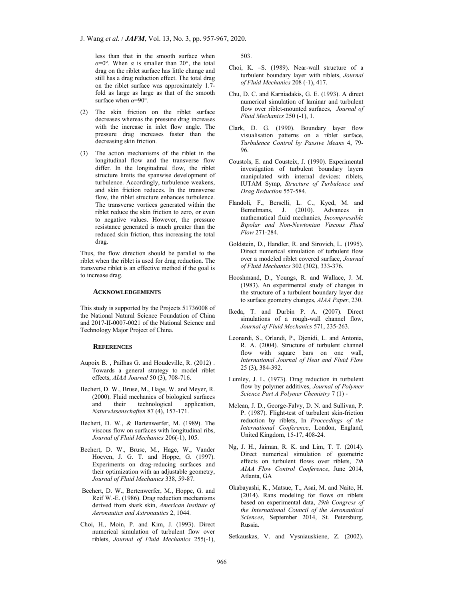less than that in the smooth surface when  $\alpha=0^{\circ}$ . When  $\alpha$  is smaller than 20°, the total drag on the riblet surface has little change and still has a drag reduction effect. The total drag on the riblet surface was approximately 1.7 fold as large as large as that of the smooth surface when  $\alpha = 90^\circ$ .

- (2) The skin friction on the riblet surface decreases whereas the pressure drag increases with the increase in inlet flow angle. The pressure drag increases faster than the decreasing skin friction.
- (3) The action mechanisms of the riblet in the longitudinal flow and the transverse flow differ. In the longitudinal flow, the riblet structure limits the spanwise development of turbulence. Accordingly, turbulence weakens, and skin friction reduces. In the transverse flow, the riblet structure enhances turbulence. The transverse vortices generated within the riblet reduce the skin friction to zero, or even to negative values. However, the pressure resistance generated is much greater than the reduced skin friction, thus increasing the total drag.

Thus, the flow direction should be parallel to the riblet when the riblet is used for drag reduction. The transverse riblet is an effective method if the goal is to increase drag.

## **ACKNOWLEDGEMENTS**

This study is supported by the Projects 51736008 of the National Natural Science Foundation of China and 2017-II-0007-0021 of the National Science and Technology Major Project of China.

#### **REFERENCES**

- Aupoix B. , Pailhas G. and Houdeville, R. (2012) . Towards a general strategy to model riblet effects, *AIAA Journal* 50 (3), 708-716.
- Bechert, D. W., Bruse, M., Hage, W. and Meyer, R. (2000). Fluid mechanics of biological surfaces and their technological application, *Naturwissenschaften* 87 (4), 157-171.
- Bechert, D. W., & Bartenwerfer, M. (1989). The viscous flow on surfaces with longitudinal ribs, *Journal of Fluid Mechanics* 206(-1), 105.
- Bechert, D. W., Bruse, M., Hage, W., Vander Hoeven, J. G. T. and Hoppe, G. (1997). Experiments on drag-reducing surfaces and their optimization with an adjustable geometry, *Journal of Fluid Mechanics* 338, 59-87.
- Bechert, D. W., Bertenwerfer, M., Hoppe, G. and Reif W.-E. (1986). Drag reduction mechanisms derived from shark skin, *American Institute of Aeronautics and Astronautics* 2, 1044.
- Choi, H., Moin, P. and Kim, J. (1993). Direct numerical simulation of turbulent flow over riblets, *Journal of Fluid Mechanics* 255(-1),

503.

- Choi, K. –S. (1989). Near-wall structure of a turbulent boundary layer with riblets, *Journal of Fluid Mechanics* 208 (-1), 417.
- Chu, D. C. and Karniadakis, G. E. (1993). A direct numerical simulation of laminar and turbulent flow over riblet-mounted surfaces, *Journal of Fluid Mechanics* 250 (-1), 1.
- Clark, D. G. (1990). Boundary layer flow visualisation patterns on a riblet surface, *Turbulence Control by Passive Means* 4, 79- 96.
- Coustols, E. and Cousteix, J. (1990). Experimental investigation of turbulent boundary layers manipulated with internal devices: riblets, IUTAM Symp, *Structure of Turbulence and Drag Reduction* 557-584.
- Flandoli, F., Berselli, L. C., Kyed, M. and Bemelmans, J. (2010). Advances in mathematical fluid mechanics, *Incompressible Bipolar and Non-Newtonian Viscous Fluid Flow* 271-284.
- Goldstein, D., Handler, R. and Sirovich, L. (1995). Direct numerical simulation of turbulent flow over a modeled riblet covered surface, *Journal of Fluid Mechanics* 302 (302), 333-376.
- Hooshmand, D., Youngs, R. and Wallace, J. M. (1983). An experimental study of changes in the structure of a turbulent boundary layer due to surface geometry changes, *AIAA Paper*, 230.
- Ikeda, T. and Durbin P. A. (2007). Direct simulations of a rough-wall channel flow, *Journal of Fluid Mechanics* 571, 235-263.
- Leonardi, S., Orlandi, P., Djenidi, L. and Antonia, R. A. (2004). Structure of turbulent channel flow with square bars on one wall, *International Journal of Heat and Fluid Flow* 25 (3), 384-392.
- Lumley, J. L. (1973). Drag reduction in turbulent flow by polymer additives, *Journal of Polymer Science Part A Polymer Chemistry* 7 (1) -
- Mclean, J. D., George-Falvy, D. N. and Sullivan, P. P. (1987). Flight-test of turbulent skin-friction reduction by riblets, In *Proceedings of the International Conference*, London, England, United Kingdom, 15-17, 408-24.
- Ng, J. H., Jaiman, R. K. and Lim, T. T. (2014). Direct numerical simulation of geometric effects on turbulent flows over riblets, *7th AIAA Flow Control Conference*, June 2014, Atlanta, GA
- Okabayashi, K., Matsue, T., Asai, M. and Naito, H. (2014). Rans modeling for flows on riblets based on experimental data, *29th Congress of the International Council of the Aeronautical Sciences*, September 2014, St. Petersburg, Russia.
- Setkauskas, V. and Vysniauskiene, Z. (2002).